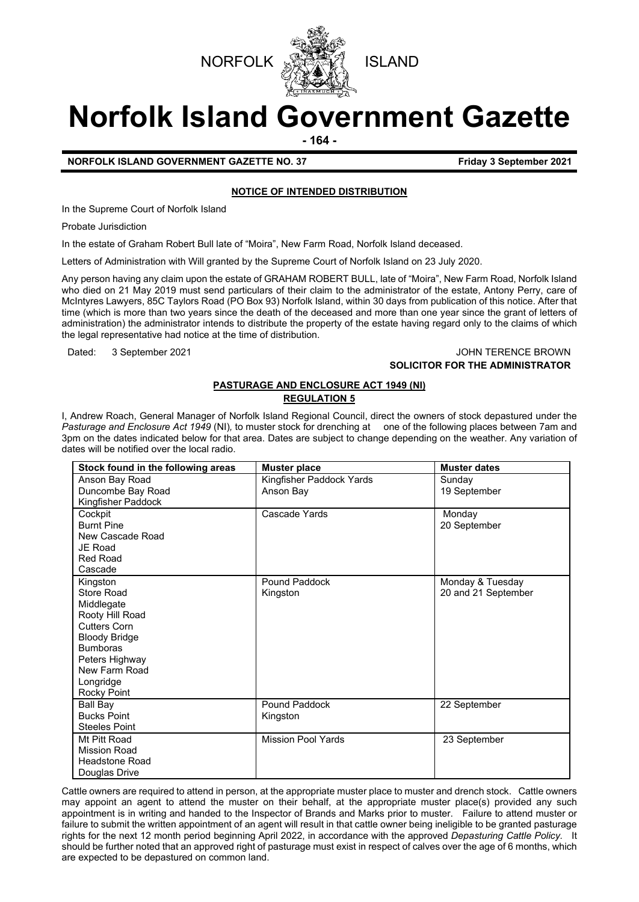



# **Norfolk Island Government Gazette**

**- 164 -**

**NORFOLK ISLAND GOVERNMENT GAZETTE NO. 37** Friday 3 September 2021

# **NOTICE OF INTENDED DISTRIBUTION**

In the Supreme Court of Norfolk Island

Probate Jurisdiction

In the estate of Graham Robert Bull late of "Moira", New Farm Road, Norfolk Island deceased.

Letters of Administration with Will granted by the Supreme Court of Norfolk Island on 23 July 2020.

Any person having any claim upon the estate of GRAHAM ROBERT BULL, late of "Moira", New Farm Road, Norfolk Island who died on 21 May 2019 must send particulars of their claim to the administrator of the estate, Antony Perry, care of McIntyres Lawyers, 85C Taylors Road (PO Box 93) Norfolk Island, within 30 days from publication of this notice. After that time (which is more than two years since the death of the deceased and more than one year since the grant of letters of administration) the administrator intends to distribute the property of the estate having regard only to the claims of which the legal representative had notice at the time of distribution.

#### Dated: 3 September 2021 JOHN TERENCE BROWN **SOLICITOR FOR THE ADMINISTRATOR**

# **PASTURAGE AND ENCLOSURE ACT 1949 (NI) REGULATION 5**

I, Andrew Roach, General Manager of Norfolk Island Regional Council, direct the owners of stock depastured under the *Pasturage and Enclosure Act 1949* (NI)*,* to muster stock for drenching at one of the following places between 7am and 3pm on the dates indicated below for that area. Dates are subject to change depending on the weather. Any variation of dates will be notified over the local radio.

| Stock found in the following areas | <b>Muster place</b>       | <b>Muster dates</b> |
|------------------------------------|---------------------------|---------------------|
| Anson Bay Road                     | Kingfisher Paddock Yards  | Sunday              |
| Duncombe Bay Road                  | Anson Bay                 | 19 September        |
| Kingfisher Paddock                 |                           |                     |
| Cockpit                            | Cascade Yards             | Monday              |
| <b>Burnt Pine</b>                  |                           | 20 September        |
| New Cascade Road                   |                           |                     |
| JE Road                            |                           |                     |
| <b>Red Road</b>                    |                           |                     |
| Cascade                            |                           |                     |
| Kingston                           | Pound Paddock             | Monday & Tuesday    |
| Store Road                         | Kingston                  | 20 and 21 September |
| Middlegate                         |                           |                     |
| Rooty Hill Road                    |                           |                     |
| <b>Cutters Corn</b>                |                           |                     |
| <b>Bloody Bridge</b>               |                           |                     |
| <b>Bumboras</b>                    |                           |                     |
| Peters Highway                     |                           |                     |
| New Farm Road                      |                           |                     |
| Longridge                          |                           |                     |
| Rocky Point                        |                           |                     |
| Ball Bay                           | Pound Paddock             | 22 September        |
| <b>Bucks Point</b>                 | Kingston                  |                     |
| <b>Steeles Point</b>               |                           |                     |
| Mt Pitt Road                       | <b>Mission Pool Yards</b> | 23 September        |
| <b>Mission Road</b>                |                           |                     |
| <b>Headstone Road</b>              |                           |                     |
| Douglas Drive                      |                           |                     |

Cattle owners are required to attend in person, at the appropriate muster place to muster and drench stock. Cattle owners may appoint an agent to attend the muster on their behalf, at the appropriate muster place(s) provided any such appointment is in writing and handed to the Inspector of Brands and Marks prior to muster. Failure to attend muster or failure to submit the written appointment of an agent will result in that cattle owner being ineligible to be granted pasturage rights for the next 12 month period beginning April 2022, in accordance with the approved *Depasturing Cattle Policy.* It should be further noted that an approved right of pasturage must exist in respect of calves over the age of 6 months, which are expected to be depastured on common land.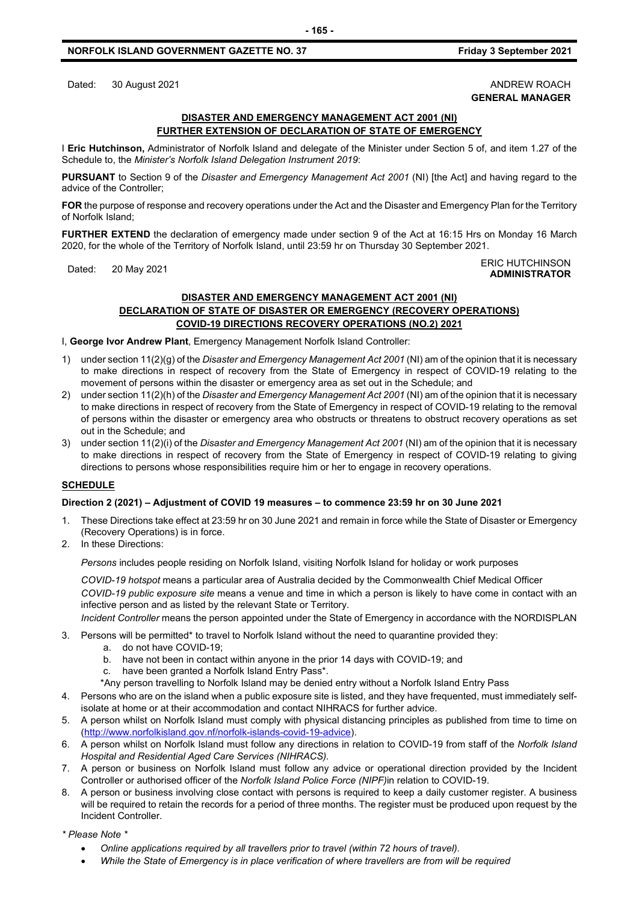# **NORFOLK ISLAND GOVERNMENT GAZETTE NO. 37** Friday 3 September 2021

Dated: 30 August 2021 **ANDREW ROACH** 

# **GENERAL MANAGER**

### **DISASTER AND EMERGENCY MANAGEMENT ACT 2001 (NI) FURTHER EXTENSION OF DECLARATION OF STATE OF EMERGENCY**

I **Eric Hutchinson,** Administrator of Norfolk Island and delegate of the Minister under Section 5 of, and item 1.27 of the Schedule to, the *Minister's Norfolk Island Delegation Instrument 2019*:

**PURSUANT** to Section 9 of the *Disaster and Emergency Management Act 2001* (NI) [the Act] and having regard to the advice of the Controller;

**FOR** the purpose of response and recovery operations under the Act and the Disaster and Emergency Plan for the Territory of Norfolk Island;

**FURTHER EXTEND** the declaration of emergency made under section 9 of the Act at 16:15 Hrs on Monday 16 March 2020, for the whole of the Territory of Norfolk Island, until 23:59 hr on Thursday 30 September 2021.

#### Dated: 20 May 2021 ERIC HUTCHINSON **ADMINISTRATOR**

# **DISASTER AND EMERGENCY MANAGEMENT ACT 2001 (NI) DECLARATION OF STATE OF DISASTER OR EMERGENCY (RECOVERY OPERATIONS) COVID-19 DIRECTIONS RECOVERY OPERATIONS (NO.2) 2021**

I, **George Ivor Andrew Plant**, Emergency Management Norfolk Island Controller:

- 1) under section 11(2)(g) of the *Disaster and Emergency Management Act 2001* (NI) am of the opinion that it is necessary to make directions in respect of recovery from the State of Emergency in respect of COVID-19 relating to the movement of persons within the disaster or emergency area as set out in the Schedule; and
- 2) under section 11(2)(h) of the *Disaster and Emergency Management Act 2001* (NI) am of the opinion that it is necessary to make directions in respect of recovery from the State of Emergency in respect of COVID-19 relating to the removal of persons within the disaster or emergency area who obstructs or threatens to obstruct recovery operations as set out in the Schedule; and
- 3) under section 11(2)(i) of the *Disaster and Emergency Management Act 2001* (NI) am of the opinion that it is necessary to make directions in respect of recovery from the State of Emergency in respect of COVID-19 relating to giving directions to persons whose responsibilities require him or her to engage in recovery operations.

# **SCHEDULE**

# **Direction 2 (2021) – Adjustment of COVID 19 measures – to commence 23:59 hr on 30 June 2021**

- 1. These Directions take effect at 23:59 hr on 30 June 2021 and remain in force while the State of Disaster or Emergency (Recovery Operations) is in force.
- 2. In these Directions:

*Persons* includes people residing on Norfolk Island, visiting Norfolk Island for holiday or work purposes

*COVID-19 hotspot* means a particular area of Australia decided by the Commonwealth Chief Medical Officer *COVID-19 public exposure site* means a venue and time in which a person is likely to have come in contact with an infective person and as listed by the relevant State or Territory. *Incident Controller* means the person appointed under the State of Emergency in accordance with the NORDISPLAN

- 
- 3. Persons will be permitted\* to travel to Norfolk Island without the need to quarantine provided they:
	- a. do not have COVID-19;
	- b. have not been in contact within anyone in the prior 14 days with COVID-19; and
	- c. have been granted a Norfolk Island Entry Pass\*.
	- \*Any person travelling to Norfolk Island may be denied entry without a Norfolk Island Entry Pass
- 4. Persons who are on the island when a public exposure site is listed, and they have frequented, must immediately selfisolate at home or at their accommodation and contact NIHRACS for further advice.
- 5. A person whilst on Norfolk Island must comply with physical distancing principles as published from time to time on [\(http://www.norfolkisland.gov.nf/norfolk-islands-covid-19-advice\)](http://www.norfolkisland.gov.nf/norfolk-islands-covid-19-advice).
- 6. A person whilst on Norfolk Island must follow any directions in relation to COVID-19 from staff of the *Norfolk Island Hospital and Residential Aged Care Services (NIHRACS).*
- 7. A person or business on Norfolk Island must follow any advice or operational direction provided by the Incident Controller or authorised officer of the *Norfolk Island Police Force (NIPF)*in relation to COVID-19.
- 8. A person or business involving close contact with persons is required to keep a daily customer register. A business will be required to retain the records for a period of three months. The register must be produced upon request by the Incident Controller.

*\* Please Note \**

- *Online applications required by all travellers prior to travel (within 72 hours of travel).*
- *While the State of Emergency is in place verification of where travellers are from will be required*